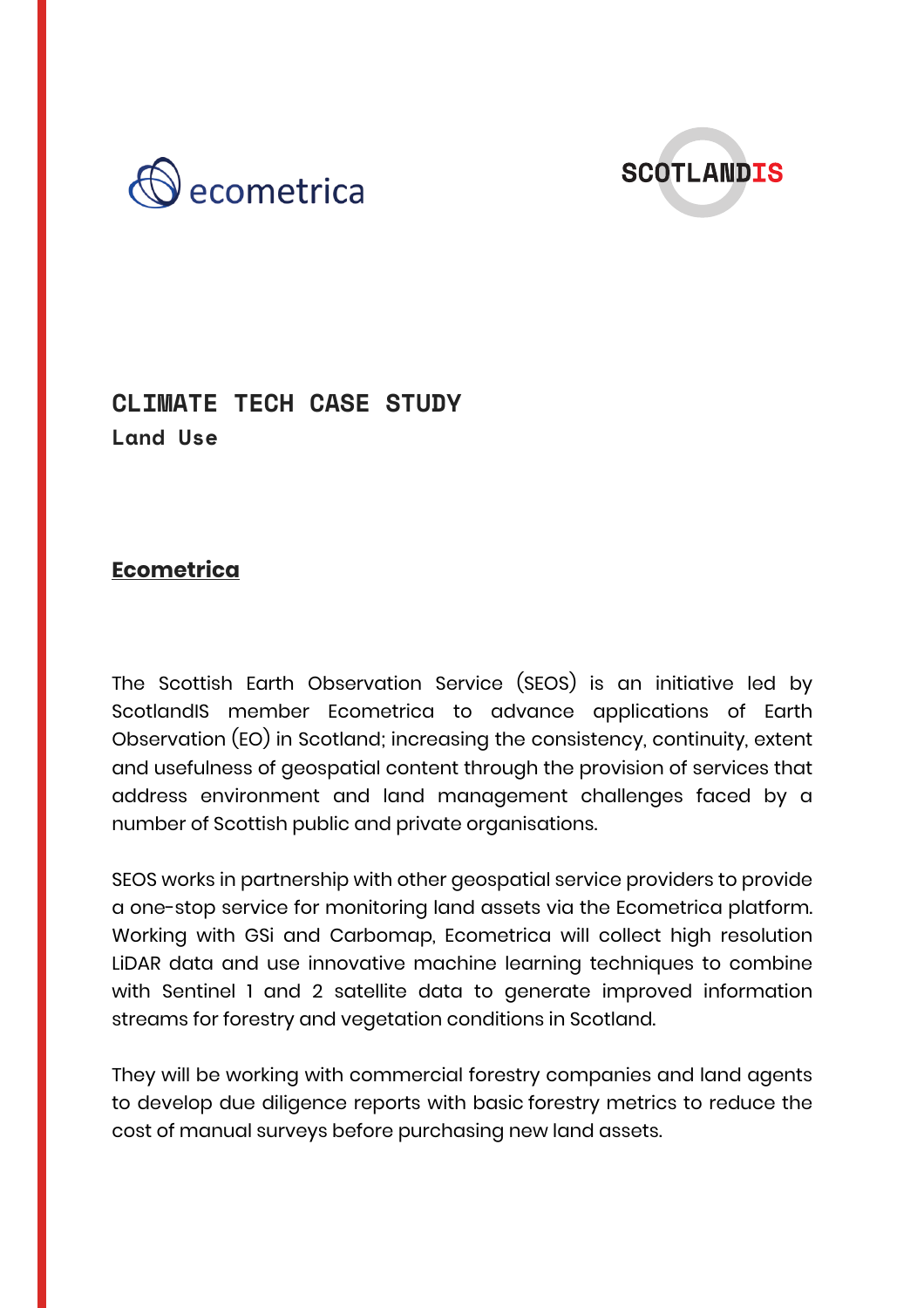



## **CLIMATE TECH CASE STUDY Land Use**

## **Ecometrica**

The Scottish Earth Observation Service (SEOS) is an initiative led by ScotlandIS member Ecometrica to advance applications of Earth Observation (EO) in Scotland; increasing the consistency, continuity, extent and usefulness of geospatial content through the provision of services that address environment and land management challenges faced by a number of Scottish public and private organisations.

SEOS works in partnership with other geospatial service providers to provide a one-stop service for monitoring land assets via the Ecometrica platform. Working with GSi and Carbomap, Ecometrica will collect high resolution LiDAR data and use innovative machine learning techniques to combine with Sentinel 1 and 2 satellite data to generate improved information streams for forestry and vegetation conditions in Scotland.

They will be working with commercial forestry companies and land agents to develop due diligence reports with basic forestry metrics to reduce the cost of manual surveys before purchasing new land assets.